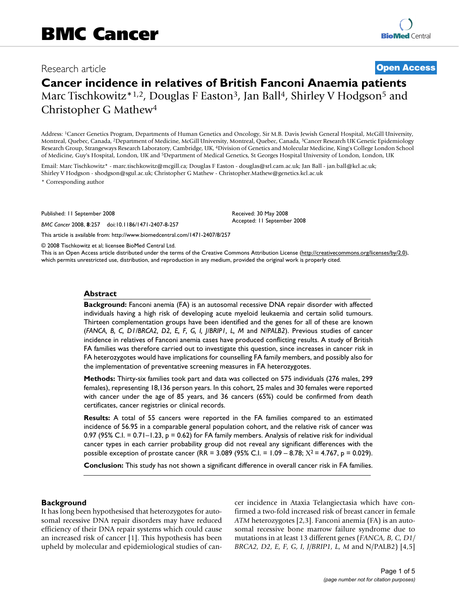## Research article **[Open Access](http://www.biomedcentral.com/info/about/charter/)**

# **Cancer incidence in relatives of British Fanconi Anaemia patients** Marc Tischkowitz\*1,2, Douglas F Easton<sup>3</sup>, Jan Ball<sup>4</sup>, Shirley V Hodgson<sup>5</sup> and Christopher G Mathew4

Address: 1Cancer Genetics Program, Departments of Human Genetics and Oncology, Sir M.B. Davis Jewish General Hospital, McGill University, Montreal, Quebec, Canada, 2Department of Medicine, McGill University, Montreal, Quebec, Canada, 3Cancer Research UK Genetic Epidemiology Research Group, Strangeways Research Laboratory, Cambridge, UK, 4Division of Genetics and Molecular Medicine, King's College London School of Medicine, Guy's Hospital, London, UK and 5Department of Medical Genetics, St Georges Hospital University of London, London, UK

Email: Marc Tischkowitz\* - marc.tischkowitz@mcgill.ca; Douglas F Easton - douglas@srl.cam.ac.uk; Jan Ball - jan.ball@kcl.ac.uk; Shirley V Hodgson - shodgson@sgul.ac.uk; Christopher G Mathew - Christopher.Mathew@genetics.kcl.ac.uk

\* Corresponding author

Published: 11 September 2008

*BMC Cancer* 2008, **8**:257 doi:10.1186/1471-2407-8-257

Received: 30 May 2008 Accepted: 11 September 2008

[This article is available from: http://www.biomedcentral.com/1471-2407/8/257](http://www.biomedcentral.com/1471-2407/8/257)

© 2008 Tischkowitz et al; licensee BioMed Central Ltd.

This is an Open Access article distributed under the terms of the Creative Commons Attribution License [\(http://creativecommons.org/licenses/by/2.0\)](http://creativecommons.org/licenses/by/2.0), which permits unrestricted use, distribution, and reproduction in any medium, provided the original work is properly cited.

## **Abstract**

**Background:** Fanconi anemia (FA) is an autosomal recessive DNA repair disorder with affected individuals having a high risk of developing acute myeloid leukaemia and certain solid tumours. Thirteen complementation groups have been identified and the genes for all of these are known (*FANCA, B, C, D1/BRCA2, D2, E, F, G, I, J/BRIP1, L, M* and *N/PALB2*). Previous studies of cancer incidence in relatives of Fanconi anemia cases have produced conflicting results. A study of British FA families was therefore carried out to investigate this question, since increases in cancer risk in FA heterozygotes would have implications for counselling FA family members, and possibly also for the implementation of preventative screening measures in FA heterozygotes.

**Methods:** Thirty-six families took part and data was collected on 575 individuals (276 males, 299 females), representing 18,136 person years. In this cohort, 25 males and 30 females were reported with cancer under the age of 85 years, and 36 cancers (65%) could be confirmed from death certificates, cancer registries or clinical records.

**Results:** A total of 55 cancers were reported in the FA families compared to an estimated incidence of 56.95 in a comparable general population cohort, and the relative risk of cancer was 0.97 (95% C.I. =  $0.71 - 1.23$ , p = 0.62) for FA family members. Analysis of relative risk for individual cancer types in each carrier probability group did not reveal any significant differences with the possible exception of prostate cancer (RR = 3.089 (95% C.I. =  $1.09 - 8.78$ ;  $X^2 = 4.767$ , p = 0.029).

**Conclusion:** This study has not shown a significant difference in overall cancer risk in FA families.

## **Background**

It has long been hypothesised that heterozygotes for autosomal recessive DNA repair disorders may have reduced efficiency of their DNA repair systems which could cause an increased risk of cancer [1]. This hypothesis has been upheld by molecular and epidemiological studies of cancer incidence in Ataxia Telangiectasia which have confirmed a two-fold increased risk of breast cancer in female *ATM* heterozygotes [2,3]. Fanconi anemia (FA) is an autosomal recessive bone marrow failure syndrome due to mutations in at least 13 different genes (*FANCA, B, C, D1/ BRCA2, D2, E, F, G, I, J/BRIP1, L, M* and N/PALB2) [4,5]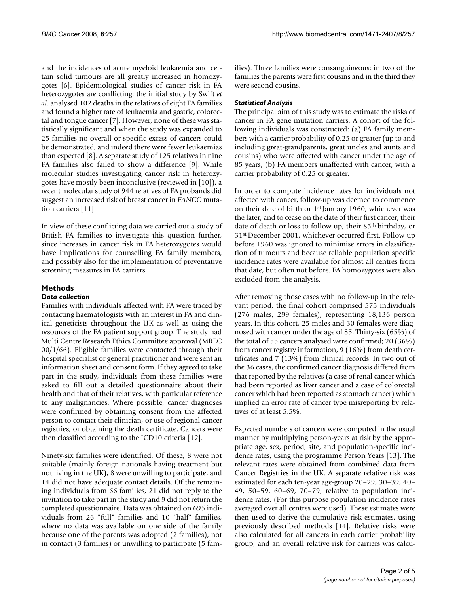and the incidences of acute myeloid leukaemia and certain solid tumours are all greatly increased in homozygotes [6]. Epidemiological studies of cancer risk in FA heterozygotes are conflicting: the initial study by Swift *et al.* analysed 102 deaths in the relatives of eight FA families and found a higher rate of leukaemia and gastric, colorectal and tongue cancer [7]. However, none of these was statistically significant and when the study was expanded to 25 families no overall or specific excess of cancers could be demonstrated, and indeed there were fewer leukaemias than expected [8]. A separate study of 125 relatives in nine FA families also failed to show a difference [9]. While molecular studies investigating cancer risk in heterozygotes have mostly been inconclusive (reviewed in [10]), a recent molecular study of 944 relatives of FA probands did suggest an increased risk of breast cancer in *FANCC* mutation carriers [11].

In view of these conflicting data we carried out a study of British FA families to investigate this question further, since increases in cancer risk in FA heterozygotes would have implications for counselling FA family members, and possibly also for the implementation of preventative screening measures in FA carriers.

## **Methods**

## *Data collection*

Families with individuals affected with FA were traced by contacting haematologists with an interest in FA and clinical geneticists throughout the UK as well as using the resources of the FA patient support group. The study had Multi Centre Research Ethics Committee approval (MREC 00/1/66). Eligible families were contacted through their hospital specialist or general practitioner and were sent an information sheet and consent form. If they agreed to take part in the study, individuals from these families were asked to fill out a detailed questionnaire about their health and that of their relatives, with particular reference to any malignancies. Where possible, cancer diagnoses were confirmed by obtaining consent from the affected person to contact their clinician, or use of regional cancer registries, or obtaining the death certificate. Cancers were then classified according to the ICD10 criteria [12].

Ninety-six families were identified. Of these, 8 were not suitable (mainly foreign nationals having treatment but not living in the UK), 8 were unwilling to participate, and 14 did not have adequate contact details. Of the remaining individuals from 66 families, 21 did not reply to the invitation to take part in the study and 9 did not return the completed questionnaire. Data was obtained on 695 individuals from 26 "full" families and 10 "half" families, where no data was available on one side of the family because one of the parents was adopted (2 families), not in contact (3 families) or unwilling to participate (5 families). Three families were consanguineous; in two of the families the parents were first cousins and in the third they were second cousins.

## *Statistical Analysis*

The principal aim of this study was to estimate the risks of cancer in FA gene mutation carriers. A cohort of the following individuals was constructed: (a) FA family members with a carrier probability of 0.25 or greater (up to and including great-grandparents, great uncles and aunts and cousins) who were affected with cancer under the age of 85 years, (b) FA members unaffected with cancer, with a carrier probability of 0.25 or greater.

In order to compute incidence rates for individuals not affected with cancer, follow-up was deemed to commence on their date of birth or 1st January 1960, whichever was the later, and to cease on the date of their first cancer, their date of death or loss to follow-up, their 85th birthday, or 31st December 2001, whichever occurred first. Follow-up before 1960 was ignored to minimise errors in classification of tumours and because reliable population specific incidence rates were available for almost all centres from that date, but often not before. FA homozygotes were also excluded from the analysis.

After removing those cases with no follow-up in the relevant period, the final cohort comprised 575 individuals (276 males, 299 females), representing 18,136 person years. In this cohort, 25 males and 30 females were diagnosed with cancer under the age of 85. Thirty-six (65%) of the total of 55 cancers analysed were confirmed; 20 (36%) from cancer registry information, 9 (16%) from death certificates and 7 (13%) from clinical records. In two out of the 36 cases, the confirmed cancer diagnosis differed from that reported by the relatives (a case of renal cancer which had been reported as liver cancer and a case of colorectal cancer which had been reported as stomach cancer) which implied an error rate of cancer type misreporting by relatives of at least 5.5%.

Expected numbers of cancers were computed in the usual manner by multiplying person-years at risk by the appropriate age, sex, period, site, and population-specific incidence rates, using the programme Person Years [13]. The relevant rates were obtained from combined data from Cancer Registries in the UK. A separate relative risk was estimated for each ten-year age-group 20–29, 30–39, 40– 49, 50–59, 60–69, 70–79, relative to population incidence rates. (For this purpose population incidence rates averaged over all centres were used). These estimates were then used to derive the cumulative risk estimates, using previously described methods [14]. Relative risks were also calculated for all cancers in each carrier probability group, and an overall relative risk for carriers was calcu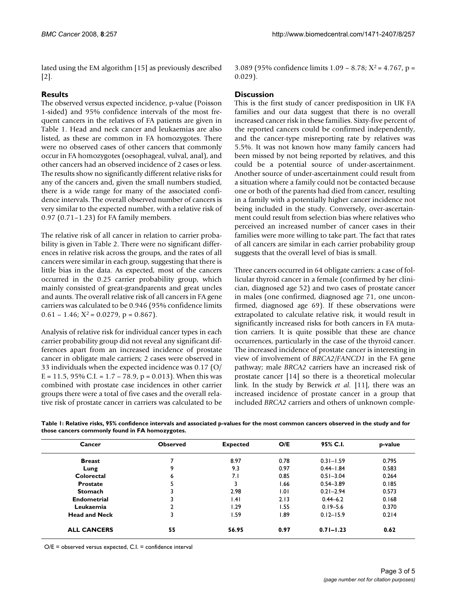lated using the EM algorithm [15] as previously described [2].

## **Results**

The observed versus expected incidence, p-value (Poisson 1-sided) and 95% confidence intervals of the most frequent cancers in the relatives of FA patients are given in Table 1. Head and neck cancer and leukaemias are also listed, as these are common in FA homozygotes. There were no observed cases of other cancers that commonly occur in FA homozygotes (oesophageal, vulval, anal), and other cancers had an observed incidence of 2 cases or less. The results show no significantly different relative risks for any of the cancers and, given the small numbers studied, there is a wide range for many of the associated confidence intervals. The overall observed number of cancers is very similar to the expected number, with a relative risk of 0.97 (0.71–1.23) for FA family members.

The relative risk of all cancer in relation to carrier probability is given in Table 2. There were no significant differences in relative risk across the groups, and the rates of all cancers were similar in each group, suggesting that there is little bias in the data. As expected, most of the cancers occurred in the 0.25 carrier probability group, which mainly consisted of great-grandparents and great uncles and aunts. The overall relative risk of all cancers in FA gene carriers was calculated to be 0.946 (95% confidence limits  $0.61 - 1.46$ ;  $X^2 = 0.0279$ ,  $p = 0.867$ ).

Analysis of relative risk for individual cancer types in each carrier probability group did not reveal any significant differences apart from an increased incidence of prostate cancer in obligate male carriers; 2 cases were observed in 33 individuals when the expected incidence was 0.17 (O/ E = 11.5, 95% C.I. = 1.7 - 78.9, p = 0.013). When this was combined with prostate case incidences in other carrier groups there were a total of five cases and the overall relative risk of prostate cancer in carriers was calculated to be 3.089 (95% confidence limits  $1.09 - 8.78$ ;  $X^2 = 4.767$ , p = 0.029).

## **Discussion**

This is the first study of cancer predisposition in UK FA families and our data suggest that there is no overall increased cancer risk in these families. Sixty-five percent of the reported cancers could be confirmed independently, and the cancer-type misreporting rate by relatives was 5.5%. It was not known how many family cancers had been missed by not being reported by relatives, and this could be a potential source of under-ascertainment. Another source of under-ascertainment could result from a situation where a family could not be contacted because one or both of the parents had died from cancer, resulting in a family with a potentially higher cancer incidence not being included in the study. Conversely, over-ascertainment could result from selection bias where relatives who perceived an increased number of cancer cases in their families were more willing to take part. The fact that rates of all cancers are similar in each carrier probability group suggests that the overall level of bias is small.

Three cancers occurred in 64 obligate carriers: a case of follicular thyroid cancer in a female (confirmed by her clinician, diagnosed age 52) and two cases of prostate cancer in males (one confirmed, diagnosed age 71, one unconfirmed, diagnosed age 69). If these observations were extrapolated to calculate relative risk, it would result in significantly increased risks for both cancers in FA mutation carriers. It is quite possible that these are chance occurrences, particularly in the case of the thyroid cancer. The increased incidence of prostate cancer is interesting in view of involvement of *BRCA2/FANCD1* in the FA gene pathway; male *BRCA2* carriers have an increased risk of prostate cancer [14] so there is a theoretical molecular link. In the study by Berwick *et al.* [11], there was an increased incidence of prostate cancer in a group that included *BRCA2* carriers and others of unknown comple-

| Table 1: Relative risks, 95% confidence intervals and associated p-values for the most common cancers observed in the study and for |
|-------------------------------------------------------------------------------------------------------------------------------------|
| those cancers commonly found in FA homozygotes.                                                                                     |

| Cancer               | <b>Observed</b> | <b>Expected</b> | O/E   | 95% C.I.      | p-value |  |
|----------------------|-----------------|-----------------|-------|---------------|---------|--|
| <b>Breast</b>        |                 | 8.97            | 0.78  | $0.31 - 1.59$ | 0.795   |  |
| Lung                 | 9               | 9.3             | 0.97  | $0.44 - 1.84$ | 0.583   |  |
| Colorectal           | 6               | 7.1             | 0.85  | $0.51 - 3.04$ | 0.264   |  |
| <b>Prostate</b>      | 5               | 3               | 66. ا | $0.54 - 3.89$ | 0.185   |  |
| <b>Stomach</b>       | 3               | 2.98            | 1.01  | $0.21 - 2.94$ | 0.573   |  |
| <b>Endometrial</b>   | 3               | .4              | 2.13  | $0.44 - 6.2$  | 0.168   |  |
| Leukaemia            | $\mathbf{2}$    | l.29            | 1.55  | $0.19 - 5.6$  | 0.370   |  |
| <b>Head and Neck</b> | 3               | 1.59            | 1.89  | $0.12 - 15.9$ | 0.214   |  |
| <b>ALL CANCERS</b>   | 55              | 56.95           | 0.97  | $0.71 - 1.23$ | 0.62    |  |

O/E = observed versus expected, C.I. = confidence interval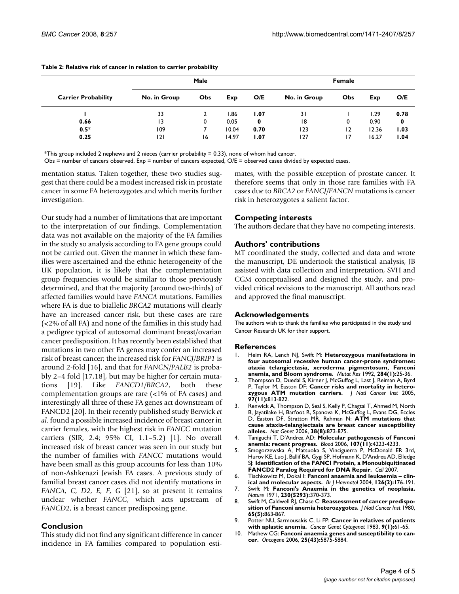| <b>Carrier Probability</b> | Male         |     |       | Female |              |     |       |      |
|----------------------------|--------------|-----|-------|--------|--------------|-----|-------|------|
|                            | No. in Group | Obs | Exp   | O/E    | No. in Group | Obs | Exp   | O/E  |
|                            | 33           |     | .86   | 1.07   | 31           |     | 1.29  | 0.78 |
| 0.66                       | 13           | 0   | 0.05  | 0      | 18           | 0   | 0.90  | 0    |
| $0.5*$                     | 109          |     | 10.04 | 0.70   | 123          | 12  | 12.36 | 1.03 |
| 0.25                       | 121          | 16  | 14.97 | 1.07   | 127          | 17  | 16.27 | 1.04 |

#### **Table 2: Relative risk of cancer in relation to carrier probability**

\*This group included 2 nephews and 2 nieces (carrier probability = 0.33), none of whom had cancer.

Obs = number of cancers observed,  $Exp$  = number of cancers expected,  $O/E$  = observed cases divided by expected cases.

mentation status. Taken together, these two studies suggest that there could be a modest increased risk in prostate cancer in some FA heterozygotes and which merits further investigation.

Our study had a number of limitations that are important to the interpretation of our findings. Complementation data was not available on the majority of the FA families in the study so analysis according to FA gene groups could not be carried out. Given the manner in which these families were ascertained and the ethnic heterogeneity of the UK population, it is likely that the complementation group frequencies would be similar to those previously determined, and that the majority (around two-thirds) of affected families would have *FANCA* mutations. Families where FA is due to biallelic *BRCA2* mutations will clearly have an increased cancer risk, but these cases are rare (<2% of all FA) and none of the families in this study had a pedigree typical of autosomal dominant breast/ovarian cancer predisposition. It has recently been established that mutations in two other FA genes may confer an increased risk of breast cancer; the increased risk for *FANCJ/BRIP1* is around 2-fold [16], and that for *FANCN/PALB2* is probably 2–4 fold [17,18], but may be higher for certain mutations [19]. Like *FANCD1/BRCA2*, both these complementation groups are rare (<1% of FA cases) and interestingly all three of these FA genes act downstream of FANCD2 [20]. In their recently published study Berwick *et al*. found a possible increased incidence of breast cancer in carrier females, with the highest risk in *FANCC* mutation carriers (SIR, 2.4; 95% CI, 1.1–5.2) [1]. No overall increased risk of breast cancer was seen in our study but the number of families with *FANCC* mutations would have been small as this group accounts for less than 10% of non-Ashkenazi Jewish FA cases. A previous study of familial breast cancer cases did not identify mutations in *FANCA, C, D2, E, F, G* [21], so at present it remains unclear whether *FANCC*, which acts upstream of *FANCD2*, is a breast cancer predisposing gene.

## **Conclusion**

This study did not find any significant difference in cancer incidence in FA families compared to population estimates, with the possible exception of prostate cancer. It therefore seems that only in those rare families with FA cases due to *BRCA2* or *FANCJ/FANCN* mutations is cancer risk in heterozygotes a salient factor.

## **Competing interests**

The authors declare that they have no competing interests.

## **Authors' contributions**

MT coordinated the study, collected and data and wrote the manuscript, DE undertook the statistical analysis, JB assisted with data collection and interpretation, SVH and CGM conceptualised and designed the study, and provided critical revisions to the manuscript. All authors read and approved the final manuscript.

#### **Acknowledgements**

The authors wish to thank the families who participated in the study and Cancer Research UK for their support.

## **References**

- 1. Heim RA, Lench NJ, Swift M: **[Heterozygous manifestations in](http://www.ncbi.nlm.nih.gov/entrez/query.fcgi?cmd=Retrieve&db=PubMed&dopt=Abstract&list_uids=1279391) [four autosomal recessive human cancer-prone syndromes:](http://www.ncbi.nlm.nih.gov/entrez/query.fcgi?cmd=Retrieve&db=PubMed&dopt=Abstract&list_uids=1279391) ataxia telangiectasia, xeroderma pigmentosum, Fanconi [anemia, and Bloom syndrome.](http://www.ncbi.nlm.nih.gov/entrez/query.fcgi?cmd=Retrieve&db=PubMed&dopt=Abstract&list_uids=1279391)** *Mutat Res* 1992, **284(1):**25-36.
- 2. Thompson D, Duedal S, Kirner J, McGuffog L, Last J, Reiman A, Byrd P, Taylor M, Easton DF: **[Cancer risks and mortality in hetero](http://www.ncbi.nlm.nih.gov/entrez/query.fcgi?cmd=Retrieve&db=PubMed&dopt=Abstract&list_uids=15928302)[zygous ATM mutation carriers.](http://www.ncbi.nlm.nih.gov/entrez/query.fcgi?cmd=Retrieve&db=PubMed&dopt=Abstract&list_uids=15928302)** *J Natl Cancer Inst* 2005, **97(11):**813-822.
- 3. Renwick A, Thompson D, Seal S, Kelly P, Chagtai T, Ahmed M, North B, Jayatilake H, Barfoot R, Spanova K, McGuffog L, Evans DG, Eccles D, Easton DF, Stratton MR, Rahman N: **[ATM mutations that](http://www.ncbi.nlm.nih.gov/entrez/query.fcgi?cmd=Retrieve&db=PubMed&dopt=Abstract&list_uids=16832357) [cause ataxia-telangiectasia are breast cancer susceptibility](http://www.ncbi.nlm.nih.gov/entrez/query.fcgi?cmd=Retrieve&db=PubMed&dopt=Abstract&list_uids=16832357) [alleles.](http://www.ncbi.nlm.nih.gov/entrez/query.fcgi?cmd=Retrieve&db=PubMed&dopt=Abstract&list_uids=16832357)** *Nat Genet* 2006, **38(8):**873-875.
- 4. Taniguchi T, D'Andrea AD: **[Molecular pathogenesis of Fanconi](http://www.ncbi.nlm.nih.gov/entrez/query.fcgi?cmd=Retrieve&db=PubMed&dopt=Abstract&list_uids=16493006) [anemia: recent progress.](http://www.ncbi.nlm.nih.gov/entrez/query.fcgi?cmd=Retrieve&db=PubMed&dopt=Abstract&list_uids=16493006)** *Blood* 2006, **107(11):**4223-4233.
- 5. Smogorzewska A, Matsuoka S, Vinciguerra P, McDonald ER 3rd, Hurov KE, Luo J, Ballif BA, Gygi SP, Hofmann K, D'Andrea AD, Elledge SJ: **[Identification of the FANCI Protein, a Monoubiquitinated](http://www.ncbi.nlm.nih.gov/entrez/query.fcgi?cmd=Retrieve&db=PubMed&dopt=Abstract&list_uids=17412408) [FANCD2 Paralog Required for DNA Repair.](http://www.ncbi.nlm.nih.gov/entrez/query.fcgi?cmd=Retrieve&db=PubMed&dopt=Abstract&list_uids=17412408)** *Cell* 2007.
- 6. Tischkowitz M, Dokal I: **[Fanconi anaemia and leukaemia clin-](http://www.ncbi.nlm.nih.gov/entrez/query.fcgi?cmd=Retrieve&db=PubMed&dopt=Abstract&list_uids=15238138)**
- **[ical and molecular aspects.](http://www.ncbi.nlm.nih.gov/entrez/query.fcgi?cmd=Retrieve&db=PubMed&dopt=Abstract&list_uids=15238138)** *Br J Haematol* 2004, **126(2):**176-191. 7. Swift M: **[Fanconi's Anaemia in the genetics of neoplasia.](http://www.ncbi.nlm.nih.gov/entrez/query.fcgi?cmd=Retrieve&db=PubMed&dopt=Abstract&list_uids=4927726)** *Nature* 1971, **230(5293):**370-373.
- 8. Swift M, Caldwell RJ, Chase C: **[Reassessment of cancer predispo](http://www.ncbi.nlm.nih.gov/entrez/query.fcgi?cmd=Retrieve&db=PubMed&dopt=Abstract&list_uids=6933255)[sition of Fanconi anemia heterozygotes.](http://www.ncbi.nlm.nih.gov/entrez/query.fcgi?cmd=Retrieve&db=PubMed&dopt=Abstract&list_uids=6933255)** *J Natl Cancer Inst* 1980, **65(5):**863-867.
- 9. Potter NU, Sarmousakis C, Li FP: **[Cancer in relatives of patients](http://www.ncbi.nlm.nih.gov/entrez/query.fcgi?cmd=Retrieve&db=PubMed&dopt=Abstract&list_uids=6839307) [with aplastic anemia.](http://www.ncbi.nlm.nih.gov/entrez/query.fcgi?cmd=Retrieve&db=PubMed&dopt=Abstract&list_uids=6839307)** *Cancer Genet Cytogenet* 1983, **9(1):**61-65.
- 10. Mathew CG: **[Fanconi anaemia genes and susceptibility to can](http://www.ncbi.nlm.nih.gov/entrez/query.fcgi?cmd=Retrieve&db=PubMed&dopt=Abstract&list_uids=16998502)[cer.](http://www.ncbi.nlm.nih.gov/entrez/query.fcgi?cmd=Retrieve&db=PubMed&dopt=Abstract&list_uids=16998502)** *Oncogene* 2006, **25(43):**5875-5884.